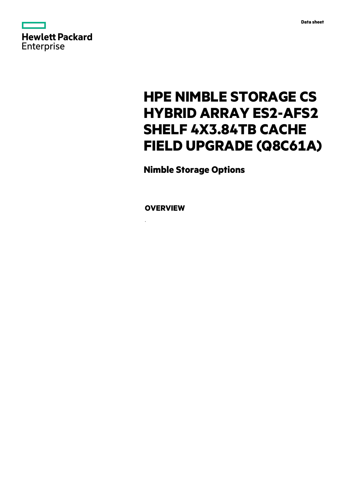

# **HPE NIMBLE STORAGE CS HYBRID ARRAY ES2-AFS2 SHELF 4X3.84TB CACHE FIELD UPGRADE (Q8C61A)**

**Nimble Storage Options**

**OVERVIEW**

.